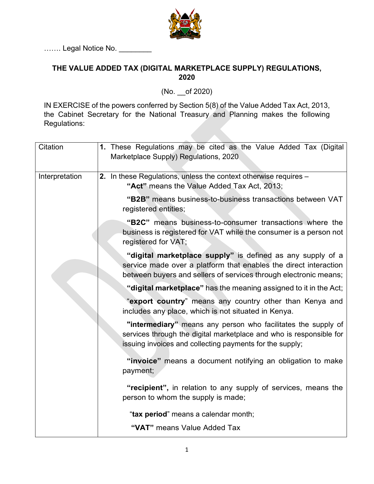

……. Legal Notice No. \_\_\_\_

## **THE VALUE ADDED TAX (DIGITAL MARKETPLACE SUPPLY) REGULATIONS, 2020**

(No. \_\_of 2020)

IN EXERCISE of the powers conferred by Section 5(8) of the Value Added Tax Act, 2013, the Cabinet Secretary for the National Treasury and Planning makes the following Regulations:

| Citation       | 1. These Regulations may be cited as the Value Added Tax (Digital<br>Marketplace Supply) Regulations, 2020                                                                                         |
|----------------|----------------------------------------------------------------------------------------------------------------------------------------------------------------------------------------------------|
| Interpretation | 2. In these Regulations, unless the context otherwise requires –<br>"Act" means the Value Added Tax Act, 2013;                                                                                     |
|                | "B2B" means business-to-business transactions between VAT<br>registered entities;                                                                                                                  |
|                | "B2C" means business-to-consumer transactions where the<br>business is registered for VAT while the consumer is a person not<br>registered for VAT;                                                |
|                | "digital marketplace supply" is defined as any supply of a<br>service made over a platform that enables the direct interaction<br>between buyers and sellers of services through electronic means; |
|                | "digital marketplace" has the meaning assigned to it in the Act;                                                                                                                                   |
|                | "export country" means any country other than Kenya and<br>includes any place, which is not situated in Kenya.                                                                                     |
|                | "intermediary" means any person who facilitates the supply of<br>services through the digital marketplace and who is responsible for<br>issuing invoices and collecting payments for the supply;   |
|                | "invoice" means a document notifying an obligation to make<br>payment;                                                                                                                             |
|                | "recipient", in relation to any supply of services, means the<br>person to whom the supply is made;                                                                                                |
|                | "tax period" means a calendar month;                                                                                                                                                               |
|                | "VAT" means Value Added Tax                                                                                                                                                                        |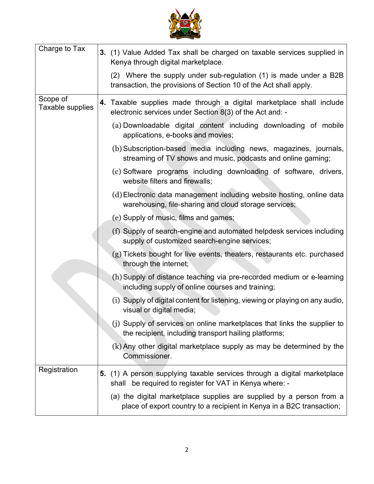

| Charge to Tax                | 3. (1) Value Added Tax shall be charged on taxable services supplied in<br>Kenya through digital marketplace.                                 |
|------------------------------|-----------------------------------------------------------------------------------------------------------------------------------------------|
|                              | (2) Where the supply under sub-regulation (1) is made under a B2B<br>transaction, the provisions of Section 10 of the Act shall apply.        |
| Scope of<br>Taxable supplies | 4. Taxable supplies made through a digital marketplace shall include<br>electronic services under Section 8(3) of the Act and: -              |
|                              | (a) Downloadable digital content including downloading of mobile<br>applications, e-books and movies;                                         |
|                              | (b) Subscription-based media including news, magazines, journals,<br>streaming of TV shows and music, podcasts and online gaming;             |
|                              | (c) Software programs including downloading of software, drivers,<br>website filters and firewalls;                                           |
|                              | (d) Electronic data management including website hosting, online data<br>warehousing, file-sharing and cloud storage services;                |
|                              | (e) Supply of music, films and games;                                                                                                         |
|                              | (f) Supply of search-engine and automated helpdesk services including<br>supply of customized search-engine services;                         |
|                              | (g) Tickets bought for live events, theaters, restaurants etc. purchased<br>through the internet;                                             |
|                              | (h) Supply of distance teaching via pre-recorded medium or e-learning<br>including supply of online courses and training;                     |
|                              | (i) Supply of digital content for listening, viewing or playing on any audio,<br>visual or digital media;                                     |
|                              | (j) Supply of services on online marketplaces that links the supplier to<br>the recipient, including transport hailing platforms;             |
|                              | (k) Any other digital marketplace supply as may be determined by the<br>Commissioner.                                                         |
| Registration                 | 5. (1) A person supplying taxable services through a digital marketplace<br>be required to register for VAT in Kenya where: -<br>shall        |
|                              | (a) the digital marketplace supplies are supplied by a person from a<br>place of export country to a recipient in Kenya in a B2C transaction; |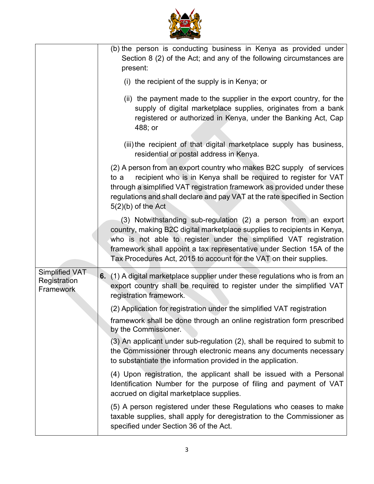|                                                    | (b) the person is conducting business in Kenya as provided under<br>Section 8 (2) of the Act; and any of the following circumstances are<br>present:                                                                                                                                                                                                           |
|----------------------------------------------------|----------------------------------------------------------------------------------------------------------------------------------------------------------------------------------------------------------------------------------------------------------------------------------------------------------------------------------------------------------------|
|                                                    | (i) the recipient of the supply is in Kenya; or                                                                                                                                                                                                                                                                                                                |
|                                                    | (ii) the payment made to the supplier in the export country, for the<br>supply of digital marketplace supplies, originates from a bank<br>registered or authorized in Kenya, under the Banking Act, Cap<br>488; or                                                                                                                                             |
|                                                    | (iii) the recipient of that digital marketplace supply has business,<br>residential or postal address in Kenya.                                                                                                                                                                                                                                                |
|                                                    | (2) A person from an export country who makes B2C supply of services<br>recipient who is in Kenya shall be required to register for VAT<br>to a<br>through a simplified VAT registration framework as provided under these<br>regulations and shall declare and pay VAT at the rate specified in Section<br>$5(2)(b)$ of the Act                               |
|                                                    | (3) Notwithstanding sub-regulation (2) a person from an export<br>country, making B2C digital marketplace supplies to recipients in Kenya,<br>who is not able to register under the simplified VAT registration<br>framework shall appoint a tax representative under Section 15A of the<br>Tax Procedures Act, 2015 to account for the VAT on their supplies. |
| <b>Simplified VAT</b><br>Registration<br>Framework | (1) A digital marketplace supplier under these regulations who is from an<br>6.<br>export country shall be required to register under the simplified VAT<br>registration framework.                                                                                                                                                                            |
|                                                    | (2) Application for registration under the simplified VAT registration                                                                                                                                                                                                                                                                                         |
|                                                    | framework shall be done through an online registration form prescribed<br>by the Commissioner.                                                                                                                                                                                                                                                                 |
|                                                    | (3) An applicant under sub-regulation (2), shall be required to submit to<br>the Commissioner through electronic means any documents necessary<br>to substantiate the information provided in the application.                                                                                                                                                 |
|                                                    | (4) Upon registration, the applicant shall be issued with a Personal<br>Identification Number for the purpose of filing and payment of VAT<br>accrued on digital marketplace supplies.                                                                                                                                                                         |
|                                                    | (5) A person registered under these Regulations who ceases to make<br>taxable supplies, shall apply for deregistration to the Commissioner as<br>specified under Section 36 of the Act.                                                                                                                                                                        |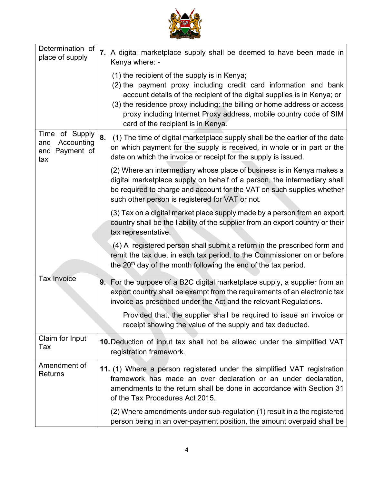

٦

| Determination of<br>place of supply                             | 7. A digital marketplace supply shall be deemed to have been made in<br>Kenya where: -                                                                                                                                                                                                                                                                                               |
|-----------------------------------------------------------------|--------------------------------------------------------------------------------------------------------------------------------------------------------------------------------------------------------------------------------------------------------------------------------------------------------------------------------------------------------------------------------------|
|                                                                 | (1) the recipient of the supply is in Kenya;<br>(2) the payment proxy including credit card information and bank<br>account details of the recipient of the digital supplies is in Kenya; or<br>(3) the residence proxy including: the billing or home address or access<br>proxy including Internet Proxy address, mobile country code of SIM<br>card of the recipient is in Kenya. |
| Time of Supply<br>Accounting<br>and<br>Payment of<br>and<br>tax | 8.<br>(1) The time of digital marketplace supply shall be the earlier of the date<br>on which payment for the supply is received, in whole or in part or the<br>date on which the invoice or receipt for the supply is issued.                                                                                                                                                       |
|                                                                 | (2) Where an intermediary whose place of business is in Kenya makes a<br>digital marketplace supply on behalf of a person, the intermediary shall<br>be required to charge and account for the VAT on such supplies whether<br>such other person is registered for VAT or not.                                                                                                       |
|                                                                 | (3) Tax on a digital market place supply made by a person from an export<br>country shall be the liability of the supplier from an export country or their<br>tax representative.                                                                                                                                                                                                    |
|                                                                 | (4) A registered person shall submit a return in the prescribed form and<br>remit the tax due, in each tax period, to the Commissioner on or before<br>the 20 <sup>th</sup> day of the month following the end of the tax period.                                                                                                                                                    |
| <b>Tax Invoice</b>                                              | 9. For the purpose of a B2C digital marketplace supply, a supplier from an<br>export country shall be exempt from the requirements of an electronic tax<br>invoice as prescribed under the Act and the relevant Regulations.                                                                                                                                                         |
|                                                                 | Provided that, the supplier shall be required to issue an invoice or<br>receipt showing the value of the supply and tax deducted.                                                                                                                                                                                                                                                    |
| Claim for Input<br>Tax                                          | 10. Deduction of input tax shall not be allowed under the simplified VAT<br>registration framework.                                                                                                                                                                                                                                                                                  |
| Amendment of<br><b>Returns</b>                                  | 11. (1) Where a person registered under the simplified VAT registration<br>framework has made an over declaration or an under declaration,<br>amendments to the return shall be done in accordance with Section 31<br>of the Tax Procedures Act 2015.                                                                                                                                |
|                                                                 | (2) Where amendments under sub-regulation (1) result in a the registered<br>person being in an over-payment position, the amount overpaid shall be                                                                                                                                                                                                                                   |